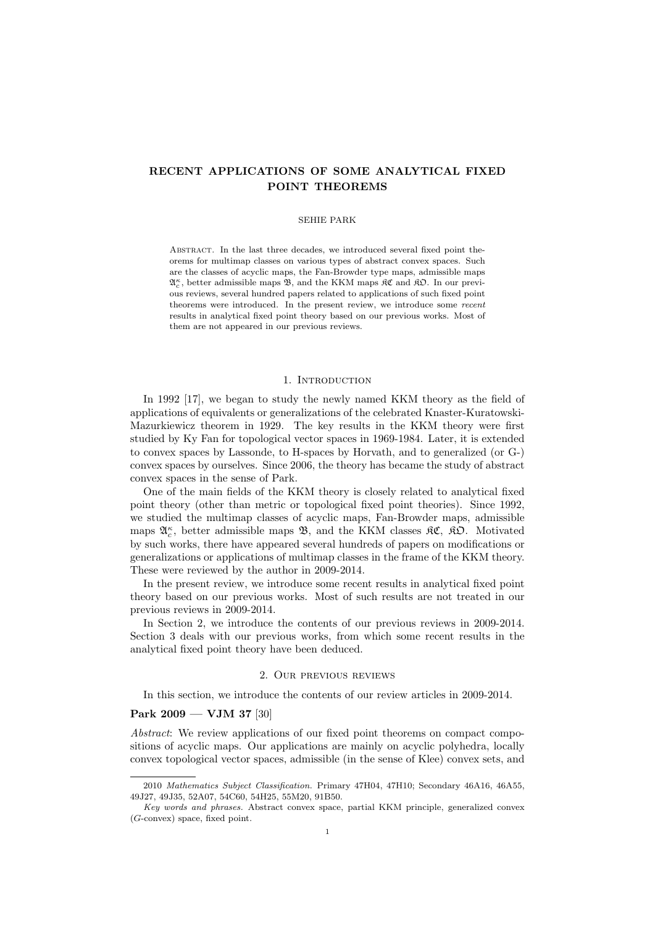# **RECENT APPLICATIONS OF SOME ANALYTICAL FIXED POINT THEOREMS**

#### SEHIE PARK

ABSTRACT. In the last three decades, we introduced several fixed point theorems for multimap classes on various types of abstract convex spaces. Such are the classes of acyclic maps, the Fan-Browder type maps, admissible maps  $\mathfrak{A}^{\kappa}_{c},$  better admissible maps  $\mathfrak{B},$  and the KKM maps  $\mathfrak{K} \mathfrak{C}$  and  $\mathfrak{K} \mathfrak{O}.$  In our previous reviews, several hundred papers related to applications of such fixed point theorems were introduced. In the present review, we introduce some *recent* results in analytical fixed point theory based on our previous works. Most of them are not appeared in our previous reviews.

### 1. INTRODUCTION

In 1992 [17], we began to study the newly named KKM theory as the field of applications of equivalents or generalizations of the celebrated Knaster-Kuratowski-Mazurkiewicz theorem in 1929. The key results in the KKM theory were first studied by Ky Fan for topological vector spaces in 1969-1984. Later, it is extended to convex spaces by Lassonde, to H-spaces by Horvath, and to generalized (or G-) convex spaces by ourselves. Since 2006, the theory has became the study of abstract convex spaces in the sense of Park.

One of the main fields of the KKM theory is closely related to analytical fixed point theory (other than metric or topological fixed point theories). Since 1992, we studied the multimap classes of acyclic maps, Fan-Browder maps, admissible maps  $\mathfrak{A}_{c}^{\kappa}$ , better admissible maps **B**, and the KKM classes  $\mathfrak{K} \mathfrak{C}$ ,  $\mathfrak{K} \mathfrak{O}$ . Motivated by such works, there have appeared several hundreds of papers on modifications or generalizations or applications of multimap classes in the frame of the KKM theory. These were reviewed by the author in 2009-2014.

In the present review, we introduce some recent results in analytical fixed point theory based on our previous works. Most of such results are not treated in our previous reviews in 2009-2014.

In Section 2, we introduce the contents of our previous reviews in 2009-2014. Section 3 deals with our previous works, from which some recent results in the analytical fixed point theory have been deduced.

## 2. Our previous reviews

In this section, we introduce the contents of our review articles in 2009-2014.

## **Park 2009 — VJM 37** [30]

*Abstract*: We review applications of our fixed point theorems on compact compositions of acyclic maps. Our applications are mainly on acyclic polyhedra, locally convex topological vector spaces, admissible (in the sense of Klee) convex sets, and

<sup>2010</sup> *Mathematics Subject Classification.* Primary 47H04, 47H10; Secondary 46A16, 46A55, 49J27, 49J35, 52A07, 54C60, 54H25, 55M20, 91B50.

*Key words and phrases.* Abstract convex space, partial KKM principle, generalized convex (*G*-convex) space, fixed point.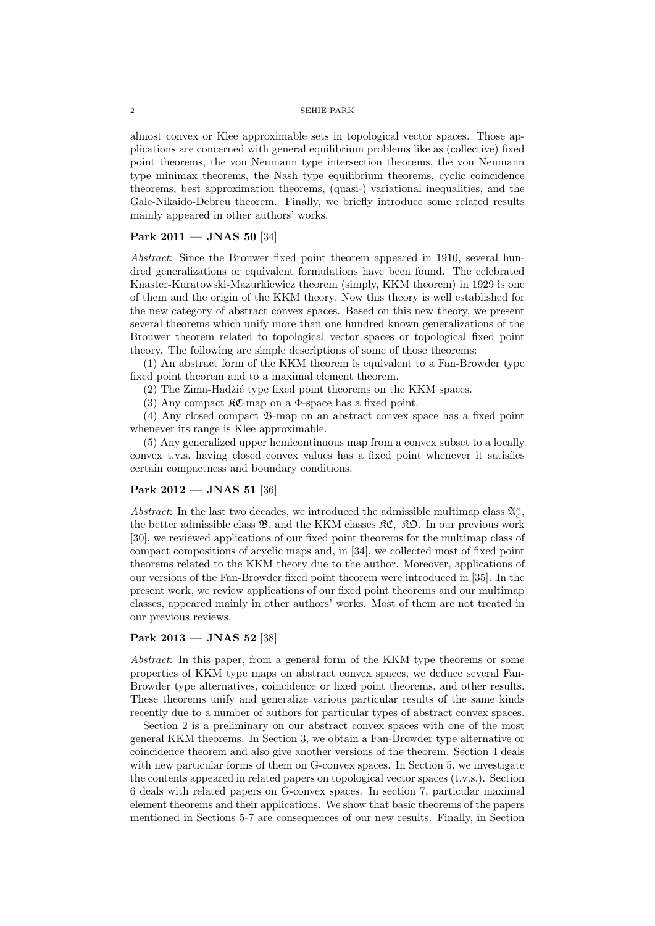almost convex or Klee approximable sets in topological vector spaces. Those applications are concerned with general equilibrium problems like as (collective) fixed point theorems, the von Neumann type intersection theorems, the von Neumann type minimax theorems, the Nash type equilibrium theorems, cyclic coincidence theorems, best approximation theorems, (quasi-) variational inequalities, and the Gale-Nikaido-Debreu theorem. Finally, we briefly introduce some related results mainly appeared in other authors' works.

## **Park 2011 — JNAS 50** [34]

*Abstract*: Since the Brouwer fixed point theorem appeared in 1910, several hundred generalizations or equivalent formulations have been found. The celebrated Knaster-Kuratowski-Mazurkiewicz theorem (simply, KKM theorem) in 1929 is one of them and the origin of the KKM theory. Now this theory is well established for the new category of abstract convex spaces. Based on this new theory, we present several theorems which unify more than one hundred known generalizations of the Brouwer theorem related to topological vector spaces or topological fixed point theory. The following are simple descriptions of some of those theorems:

(1) An abstract form of the KKM theorem is equivalent to a Fan-Browder type fixed point theorem and to a maximal element theorem.

 $(2)$  The Zima-Hadžić type fixed point theorems on the KKM spaces.

(3) Any compact  $\mathfrak{RC}$ -map on a  $\Phi$ -space has a fixed point.

(4) Any closed compact B-map on an abstract convex space has a fixed point whenever its range is Klee approximable.

(5) Any generalized upper hemicontinuous map from a convex subset to a locally convex t.v.s. having closed convex values has a fixed point whenever it satisfies certain compactness and boundary conditions.

## **Park 2012 — JNAS 51** [36]

Abstract: In the last two decades, we introduced the admissible multimap class  $\mathfrak{A}_{c}^{\kappa}$ , the better admissible class B, and the KKM classes KC*,* KO. In our previous work [30], we reviewed applications of our fixed point theorems for the multimap class of compact compositions of acyclic maps and, in [34], we collected most of fixed point theorems related to the KKM theory due to the author. Moreover, applications of our versions of the Fan-Browder fixed point theorem were introduced in [35]. In the present work, we review applications of our fixed point theorems and our multimap classes, appeared mainly in other authors' works. Most of them are not treated in our previous reviews.

## **Park 2013 — JNAS 52** [38]

*Abstract*: In this paper, from a general form of the KKM type theorems or some properties of KKM type maps on abstract convex spaces, we deduce several Fan-Browder type alternatives, coincidence or fixed point theorems, and other results. These theorems unify and generalize various particular results of the same kinds recently due to a number of authors for particular types of abstract convex spaces.

Section 2 is a preliminary on our abstract convex spaces with one of the most general KKM theorems. In Section 3, we obtain a Fan-Browder type alternative or coincidence theorem and also give another versions of the theorem. Section 4 deals with new particular forms of them on G-convex spaces. In Section 5, we investigate the contents appeared in related papers on topological vector spaces (t.v.s.). Section 6 deals with related papers on G-convex spaces. In section 7, particular maximal element theorems and their applications. We show that basic theorems of the papers mentioned in Sections 5-7 are consequences of our new results. Finally, in Section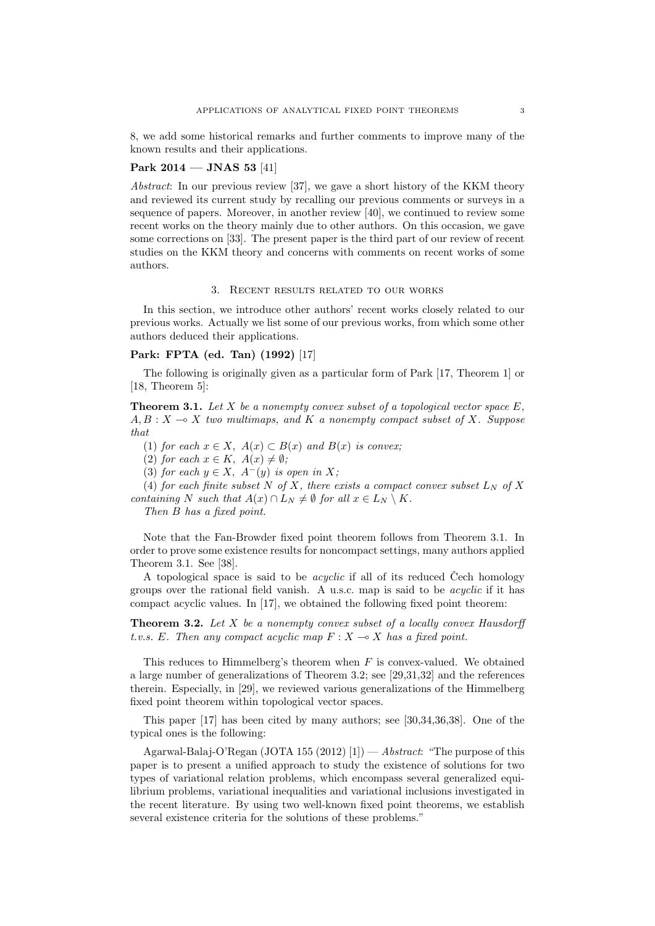8, we add some historical remarks and further comments to improve many of the known results and their applications.

## **Park 2014 — JNAS 53** [41]

*Abstract*: In our previous review [37], we gave a short history of the KKM theory and reviewed its current study by recalling our previous comments or surveys in a sequence of papers. Moreover, in another review [40], we continued to review some recent works on the theory mainly due to other authors. On this occasion, we gave some corrections on [33]. The present paper is the third part of our review of recent studies on the KKM theory and concerns with comments on recent works of some authors.

### 3. Recent results related to our works

In this section, we introduce other authors' recent works closely related to our previous works. Actually we list some of our previous works, from which some other authors deduced their applications.

## **Park: FPTA (ed. Tan) (1992)** [17]

The following is originally given as a particular form of Park [17, Theorem 1] or [18, Theorem 5]:

**Theorem 3.1.** *Let X be a nonempty convex subset of a topological vector space E,*  $A, B: X \rightarrow X$  two multimaps, and K a nonempty compact subset of X. Suppose *that*

(1) *for each*  $x \in X$ ,  $A(x) \subset B(x)$  *and*  $B(x)$  *is convex;* 

 $(2)$  *for each*  $x \in K$ ,  $A(x) \neq \emptyset$ ;

(3) *for each*  $y \in X$ ,  $A^{-}(y)$  *is open in*  $X$ ;

(4) *for each finite subset*  $N$  *of*  $X$ *, there exists a compact convex subset*  $L_N$  *of*  $X$ *containing N such that*  $A(x) \cap L_N \neq \emptyset$  *for all*  $x \in L_N \setminus K$ *.* 

*Then B has a fixed point.*

Note that the Fan-Browder fixed point theorem follows from Theorem 3.1. In order to prove some existence results for noncompact settings, many authors applied Theorem 3.1. See [38].

A topological space is said to be *acyclic* if all of its reduced Cech homology groups over the rational field vanish. A u.s.c. map is said to be *acyclic* if it has compact acyclic values. In [17], we obtained the following fixed point theorem:

**Theorem 3.2.** *Let X be a nonempty convex subset of a locally convex Hausdorff t.v.s.*  $E$ *. Then any compact acyclic map*  $F: X \rightarrow X$  *has a fixed point.* 

This reduces to Himmelberg's theorem when *F* is convex-valued. We obtained a large number of generalizations of Theorem 3.2; see [29,31,32] and the references therein. Especially, in [29], we reviewed various generalizations of the Himmelberg fixed point theorem within topological vector spaces.

This paper [17] has been cited by many authors; see [30,34,36,38]. One of the typical ones is the following:

Agarwal-Balaj-O'Regan (JOTA 155 (2012) [1]) — *Abstract*: "The purpose of this paper is to present a unified approach to study the existence of solutions for two types of variational relation problems, which encompass several generalized equilibrium problems, variational inequalities and variational inclusions investigated in the recent literature. By using two well-known fixed point theorems, we establish several existence criteria for the solutions of these problems."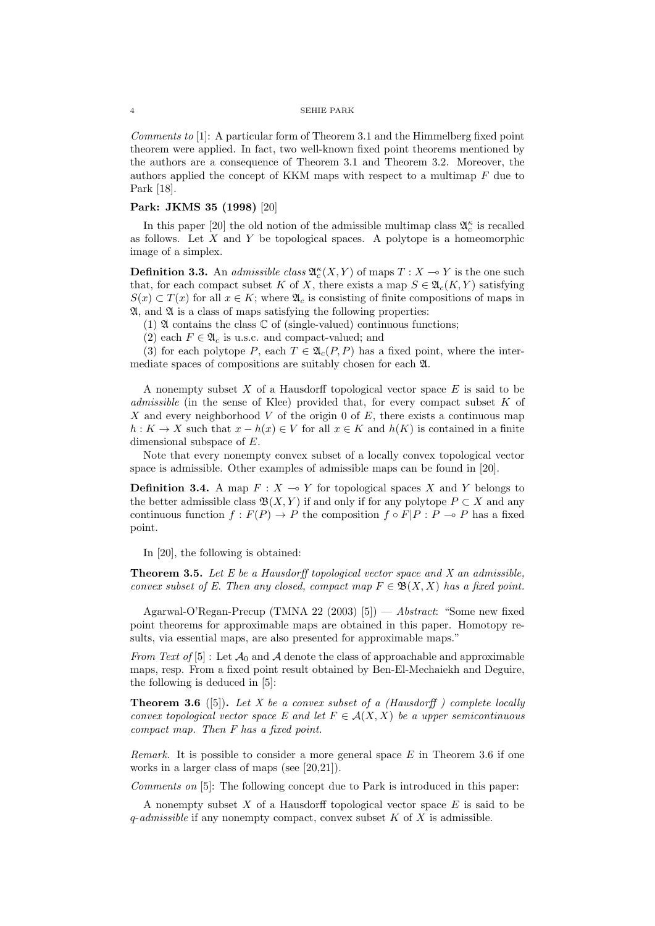*Comments to* [1]: A particular form of Theorem 3.1 and the Himmelberg fixed point theorem were applied. In fact, two well-known fixed point theorems mentioned by the authors are a consequence of Theorem 3.1 and Theorem 3.2. Moreover, the authors applied the concept of KKM maps with respect to a multimap *F* due to Park [18].

## **Park: JKMS 35 (1998)** [20]

In this paper [20] the old notion of the admissible multimap class  $\mathfrak{A}^{\kappa}_{c}$  is recalled as follows. Let *X* and *Y* be topological spaces. A polytope is a homeomorphic image of a simplex.

**Definition 3.3.** An *admissible class*  $\mathfrak{A}_{c}^{\kappa}(X, Y)$  of maps  $T : X \to Y$  is the one such that, for each compact subset *K* of *X*, there exists a map  $S \in \mathfrak{A}_{c}(K, Y)$  satisfying  $S(x) \subset T(x)$  for all  $x \in K$ ; where  $\mathfrak{A}_c$  is consisting of finite compositions of maps in  $\mathfrak{A}$ , and  $\mathfrak{A}$  is a class of maps satisfying the following properties:

(1)  $\mathfrak A$  contains the class  $\mathbb C$  of (single-valued) continuous functions;

(2) each  $F \in \mathfrak{A}_c$  is u.s.c. and compact-valued; and

(3) for each polytope *P*, each  $T \in \mathfrak{A}_c(P, P)$  has a fixed point, where the intermediate spaces of compositions are suitably chosen for each A.

A nonempty subset *X* of a Hausdorff topological vector space *E* is said to be *admissible* (in the sense of Klee) provided that, for every compact subset *K* of *X* and every neighborhood *V* of the origin 0 of *E*, there exists a continuous map *h* : *K* → *X* such that  $x - h(x) \in V$  for all  $x \in K$  and  $h(K)$  is contained in a finite dimensional subspace of *E*.

Note that every nonempty convex subset of a locally convex topological vector space is admissible. Other examples of admissible maps can be found in [20].

**Definition 3.4.** A map  $F: X \to Y$  for topological spaces *X* and *Y* belongs to the better admissible class  $\mathfrak{B}(X, Y)$  if and only if for any polytope  $P \subset X$  and any continuous function  $f: F(P) \to P$  the composition  $f \circ F|P: P \to P$  has a fixed point.

In [20], the following is obtained:

**Theorem 3.5.** *Let E be a Hausdorff topological vector space and X an admissible, convex subset of E. Then any closed, compact map*  $F \in \mathfrak{B}(X,X)$  *has a fixed point.* 

Agarwal-O'Regan-Precup (TMNA 22 (2003) [5]) — *Abstract*: "Some new fixed point theorems for approximable maps are obtained in this paper. Homotopy results, via essential maps, are also presented for approximable maps."

*From Text of* [5]: Let  $\mathcal{A}_0$  and  $\mathcal{A}$  denote the class of approachable and approximable maps, resp. From a fixed point result obtained by Ben-El-Mechaiekh and Deguire, the following is deduced in [5]:

**Theorem 3.6** ([5])**.** *Let X be a convex subset of a (Hausdorff ) complete locally convex topological vector space E and let*  $F \in \mathcal{A}(X, X)$  *be a upper semicontinuous compact map. Then F has a fixed point.*

*Remark.* It is possible to consider a more general space *E* in Theorem 3.6 if one works in a larger class of maps (see [20,21]).

*Comments on* [5]: The following concept due to Park is introduced in this paper:

A nonempty subset *X* of a Hausdorff topological vector space *E* is said to be *q*-*admissible* if any nonempty compact, convex subset *K* of *X* is admissible.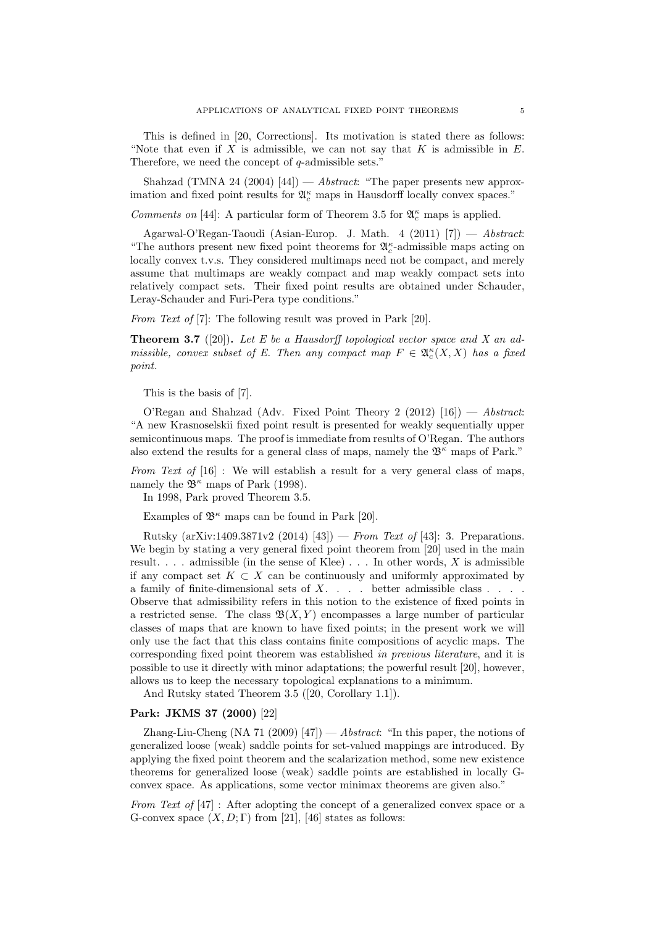This is defined in [20, Corrections]. Its motivation is stated there as follows: "Note that even if *X* is admissible, we can not say that *K* is admissible in *E*. Therefore, we need the concept of *q*-admissible sets."

Shahzad (TMNA 24 (2004) [44]) — *Abstract*: "The paper presents new approximation and fixed point results for  $\mathfrak{A}_c^{\kappa}$  maps in Hausdorff locally convex spaces."

*Comments on* [44]: A particular form of Theorem 3.5 for  $\mathfrak{A}_{c}^{\kappa}$  maps is applied.

Agarwal-O'Regan-Taoudi (Asian-Europ. J. Math. 4 (2011) [7]) — *Abstract*: "The authors present new fixed point theorems for  $\mathfrak{A}^{\kappa}_{c}$ -admissible maps acting on locally convex t.v.s. They considered multimaps need not be compact, and merely assume that multimaps are weakly compact and map weakly compact sets into relatively compact sets. Their fixed point results are obtained under Schauder, Leray-Schauder and Furi-Pera type conditions."

*From Text of* [7]: The following result was proved in Park [20].

**Theorem 3.7** ([20])**.** *Let E be a Hausdorff topological vector space and X an admissible, convex subset of E. Then any compact map*  $F \in \mathfrak{A}_{c}^{\kappa}(X,X)$  has a fixed *point.*

This is the basis of [7].

O'Regan and Shahzad (Adv. Fixed Point Theory 2 (2012) [16]) — *Abstract*: "A new Krasnoselskii fixed point result is presented for weakly sequentially upper semicontinuous maps. The proof is immediate from results of O'Regan. The authors also extend the results for a general class of maps, namely the  $\mathfrak{B}^{\kappa}$  maps of Park."

*From Text of* [16] : We will establish a result for a very general class of maps, namely the  $\mathfrak{B}^{\kappa}$  maps of Park (1998).

In 1998, Park proved Theorem 3.5.

Examples of  $\mathfrak{B}^{\kappa}$  maps can be found in Park [20].

Rutsky (arXiv:1409.3871v2 (2014) [43]) — *From Text of* [43]: 3. Preparations. We begin by stating a very general fixed point theorem from [20] used in the main result. . . . admissible (in the sense of Klee) . . . In other words, *X* is admissible if any compact set  $K \subset X$  can be continuously and uniformly approximated by a family of finite-dimensional sets of *X*. . . . better admissible class . . . . Observe that admissibility refers in this notion to the existence of fixed points in a restricted sense. The class  $\mathfrak{B}(X, Y)$  encompasses a large number of particular classes of maps that are known to have fixed points; in the present work we will only use the fact that this class contains finite compositions of acyclic maps. The corresponding fixed point theorem was established *in previous literature*, and it is possible to use it directly with minor adaptations; the powerful result [20], however, allows us to keep the necessary topological explanations to a minimum.

And Rutsky stated Theorem 3.5 ([20, Corollary 1.1]).

## **Park: JKMS 37 (2000)** [22]

Zhang-Liu-Cheng (NA 71 (2009) [47]) — *Abstract*: "In this paper, the notions of generalized loose (weak) saddle points for set-valued mappings are introduced. By applying the fixed point theorem and the scalarization method, some new existence theorems for generalized loose (weak) saddle points are established in locally Gconvex space. As applications, some vector minimax theorems are given also."

*From Text of* [47] : After adopting the concept of a generalized convex space or a G-convex space  $(X, D; \Gamma)$  from [21], [46] states as follows: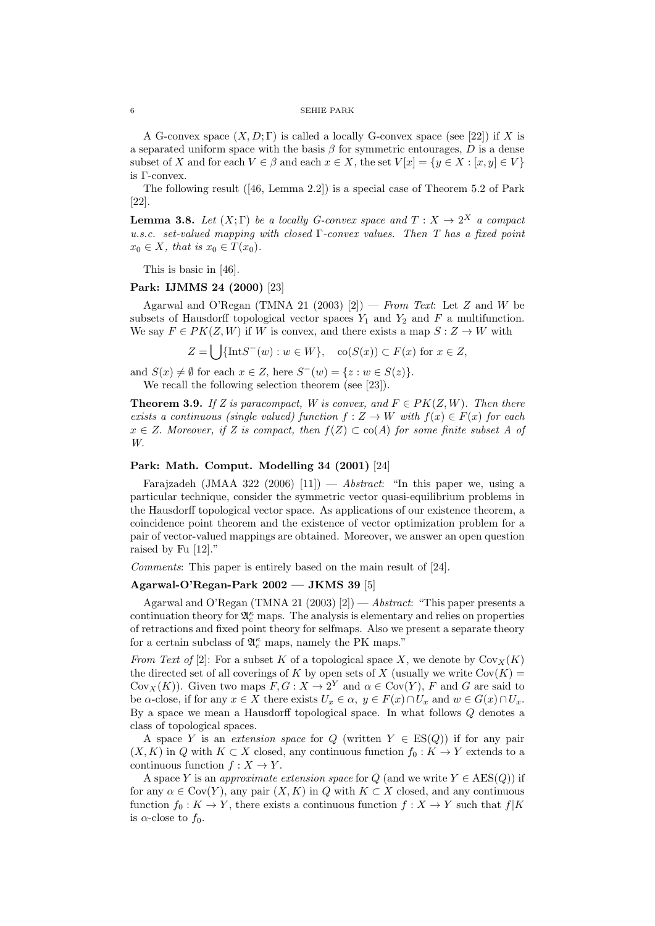A G-convex space  $(X, D; \Gamma)$  is called a locally G-convex space (see [22]) if *X* is a separated uniform space with the basis  $\beta$  for symmetric entourages,  $D$  is a dense subset of *X* and for each  $V \in \beta$  and each  $x \in X$ , the set  $V[x] = \{y \in X : [x, y] \in V\}$ is Γ-convex.

The following result  $(146, \text{Lemma } 2.2)$  is a special case of Theorem 5.2 of Park [22].

**Lemma 3.8.** Let  $(X;\Gamma)$  be a locally G-convex space and  $T: X \to 2^X$  a compact *u.s.c. set-valued mapping with closed* Γ*-convex values. Then T has a fixed point*  $x_0 \in X$ *, that is*  $x_0 \in T(x_0)$ *.* 

This is basic in [46].

#### **Park: IJMMS 24 (2000)** [23]

Agarwal and O'Regan (TMNA 21 (2003) [2]) — *From Text*: Let *Z* and *W* be subsets of Hausdorff topological vector spaces  $Y_1$  and  $Y_2$  and  $F$  a multifunction. We say  $F \in PK(Z, W)$  if *W* is convex, and there exists a map  $S: Z \rightarrow W$  with

 $Z = \bigcup \{ \text{Int}S^-(w) : w \in W \}, \text{co}(S(x)) \subset F(x) \text{ for } x \in Z,$ 

and  $S(x) \neq \emptyset$  for each  $x \in Z$ , here  $S^{-}(w) = \{z : w \in S(z)\}.$ 

We recall the following selection theorem (see [23]).

**Theorem 3.9.** *If Z is paracompact, W is convex, and*  $F \in PK(Z, W)$ *. Then there exists a continuous (single valued) function*  $f: Z \to W$  *with*  $f(x) \in F(x)$  *for each*  $x \in Z$ . *Moreover, if Z is compact, then*  $f(Z) \subset \text{co}(A)$  *for some finite subset A of W.*

### **Park: Math. Comput. Modelling 34 (2001)** [24]

Farajzadeh (JMAA 322 (2006) [11]) — *Abstract*: "In this paper we, using a particular technique, consider the symmetric vector quasi-equilibrium problems in the Hausdorff topological vector space. As applications of our existence theorem, a coincidence point theorem and the existence of vector optimization problem for a pair of vector-valued mappings are obtained. Moreover, we answer an open question raised by Fu [12]."

*Comments*: This paper is entirely based on the main result of [24].

## **Agarwal-O'Regan-Park 2002 — JKMS 39** [5]

Agarwal and O'Regan (TMNA 21 (2003) [2]) — *Abstract*: "This paper presents a continuation theory for  $\mathfrak{A}_c^{\kappa}$  maps. The analysis is elementary and relies on properties of retractions and fixed point theory for selfmaps. Also we present a separate theory for a certain subclass of  $\mathfrak{A}_c^\kappa$  maps, namely the PK maps."

*From Text of* [2]: For a subset *K* of a topological space *X*, we denote by  $Cov_X(K)$ the directed set of all coverings of *K* by open sets of *X* (usually we write  $Cov(K)$  = Cov<sub>*X*</sub>(*K*)). Given two maps  $F, G: X \to 2^Y$  and  $\alpha \in \text{Cov}(Y)$ , *F* and *G* are said to be  $\alpha$ -close, if for any  $x \in X$  there exists  $U_x \in \alpha$ ,  $y \in F(x) \cap U_x$  and  $w \in G(x) \cap U_x$ . By a space we mean a Hausdorff topological space. In what follows *Q* denotes a class of topological spaces.

A space *Y* is an *extension space* for  $Q$  (written  $Y \in ES(Q)$ ) if for any pair  $(X, K)$  in *Q* with  $K \subset X$  closed, any continuous function  $f_0: K \to Y$  extends to a continuous function  $f: X \to Y$ .

A space *Y* is an *approximate extension space* for *Q* (and we write  $Y \in \text{AES}(Q)$ ) if for any  $\alpha \in \text{Cov}(Y)$ , any pair  $(X, K)$  in *Q* with  $K \subset X$  closed, and any continuous function  $f_0: K \to Y$ , there exists a continuous function  $f: X \to Y$  such that  $f|K$ is  $\alpha$ -close to  $f_0$ .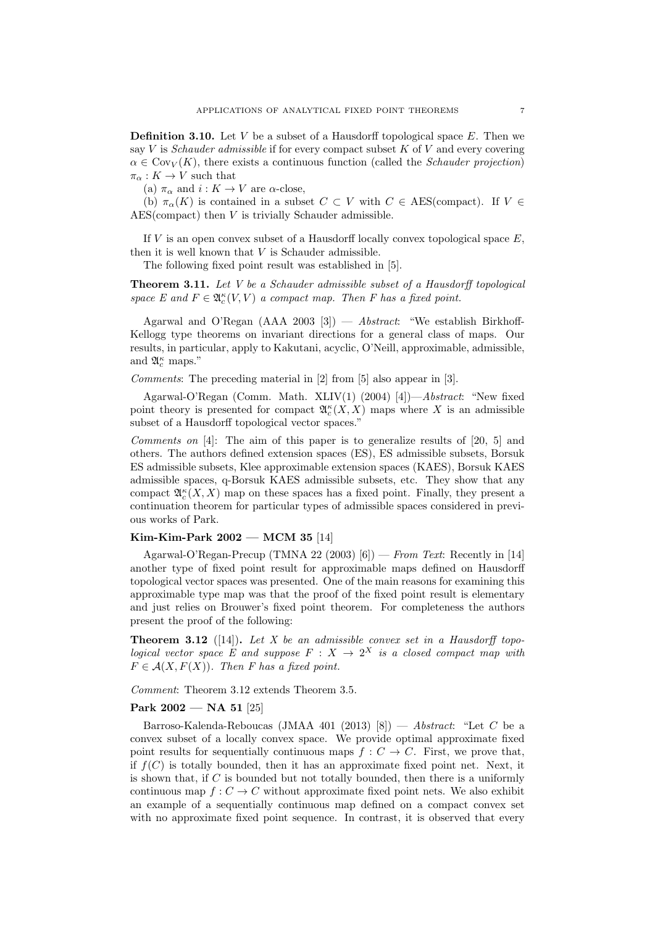**Definition 3.10.** Let *V* be a subset of a Hausdorff topological space *E*. Then we say *V* is *Schauder admissible* if for every compact subset *K* of *V* and every covering  $\alpha \in \text{Cov}_V(K)$ , there exists a continuous function (called the *Schauder projection*)  $\pi_{\alpha}: K \to V$  such that

(a)  $\pi_{\alpha}$  and  $i: K \to V$  are  $\alpha$ -close,

(b)  $\pi_{\alpha}(K)$  is contained in a subset  $C \subset V$  with  $C \in \text{AES}(\text{compact})$ . If  $V \in$ AES(compact) then *V* is trivially Schauder admissible.

If *V* is an open convex subset of a Hausdorff locally convex topological space *E*, then it is well known that *V* is Schauder admissible.

The following fixed point result was established in [5].

**Theorem 3.11.** *Let V be a Schauder admissible subset of a Hausdorff topological space*  $E$  and  $F \in \mathfrak{A}_{c}^{\kappa}(V, V)$  *a compact map. Then*  $F$  has a fixed point.

Agarwal and O'Regan (AAA 2003 [3]) — *Abstract*: "We establish Birkhoff-Kellogg type theorems on invariant directions for a general class of maps. Our results, in particular, apply to Kakutani, acyclic, O'Neill, approximable, admissible, and  $\mathfrak{A}_{c}^{\kappa}$  maps."

*Comments*: The preceding material in [2] from [5] also appear in [3].

Agarwal-O'Regan (Comm. Math. XLIV(1) (2004) [4])—*Abstract*: "New fixed point theory is presented for compact  $\mathfrak{A}_{c}^{\kappa}(X,X)$  maps where X is an admissible subset of a Hausdorff topological vector spaces."

*Comments on* [4]: The aim of this paper is to generalize results of [20, 5] and others. The authors defined extension spaces (ES), ES admissible subsets, Borsuk ES admissible subsets, Klee approximable extension spaces (KAES), Borsuk KAES admissible spaces, q-Borsuk KAES admissible subsets, etc. They show that any compact  $\mathfrak{A}_{c}^{\kappa}(X,X)$  map on these spaces has a fixed point. Finally, they present a continuation theorem for particular types of admissible spaces considered in previous works of Park.

## **Kim-Kim-Park 2002 — MCM 35** [14]

Agarwal-O'Regan-Precup (TMNA 22 (2003) [6]) — *From Text*: Recently in [14] another type of fixed point result for approximable maps defined on Hausdorff topological vector spaces was presented. One of the main reasons for examining this approximable type map was that the proof of the fixed point result is elementary and just relies on Brouwer's fixed point theorem. For completeness the authors present the proof of the following:

**Theorem 3.12** ([14])**.** *Let X be an admissible convex set in a Hausdorff topological vector space*  $E$  *and suppose*  $F: X \rightarrow 2^X$  *is a closed compact map with*  $F \in \mathcal{A}(X, F(X))$ *. Then F has a fixed point.* 

*Comment*: Theorem 3.12 extends Theorem 3.5.

## **Park 2002 — NA 51** [25]

Barroso-Kalenda-Reboucas (JMAA 401 (2013) [8]) — *Abstract*: "Let *C* be a convex subset of a locally convex space. We provide optimal approximate fixed point results for sequentially continuous maps  $f: C \to C$ . First, we prove that, if  $f(C)$  is totally bounded, then it has an approximate fixed point net. Next, it is shown that, if *C* is bounded but not totally bounded, then there is a uniformly continuous map  $f: C \to C$  without approximate fixed point nets. We also exhibit an example of a sequentially continuous map defined on a compact convex set with no approximate fixed point sequence. In contrast, it is observed that every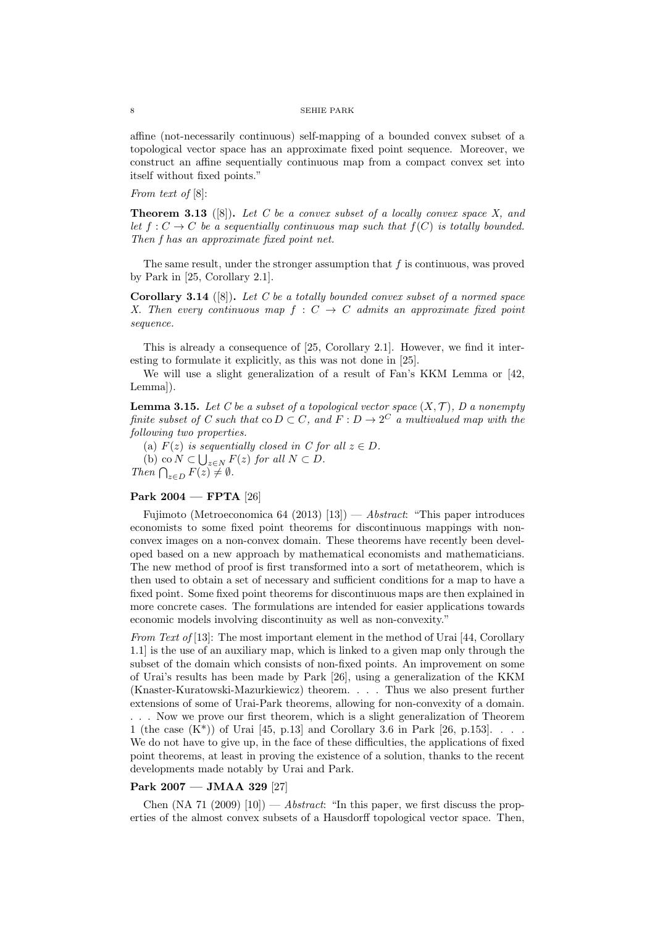affine (not-necessarily continuous) self-mapping of a bounded convex subset of a topological vector space has an approximate fixed point sequence. Moreover, we construct an affine sequentially continuous map from a compact convex set into itself without fixed points."

*From text of* [8]:

**Theorem 3.13** ([8])**.** *Let C be a convex subset of a locally convex space X, and let*  $f: C \to C$  *be a sequentially continuous map such that*  $f(C)$  *is totally bounded. Then f has an approximate fixed point net.*

The same result, under the stronger assumption that *f* is continuous, was proved by Park in [25, Corollary 2.1].

**Corollary 3.14** ([8])**.** *Let C be a totally bounded convex subset of a normed space X. Then every continuous map*  $f : C \rightarrow C$  *admits an approximate fixed point sequence.*

This is already a consequence of [25, Corollary 2.1]. However, we find it interesting to formulate it explicitly, as this was not done in [25].

We will use a slight generalization of a result of Fan's KKM Lemma or [42, Lemma]).

**Lemma 3.15.** Let C be a subset of a topological vector space  $(X, \mathcal{T})$ , D a nonempty *finite subset of C such that*  $\text{co } D \subset C$ *, and*  $F: D \to 2^C$  *a multivalued map with the following two properties.*

(a)  $F(z)$  *is sequentially closed in C for all*  $z \in D$ *.* 

(b) co  $\overline{N}$  ⊂  $\bigcup_{z \in N}$   $F(z)$  *for all*  $N \subset D$ *.* 

*Then*  $\bigcap_{z \in D} F(z) \neq \emptyset$ *.* 

#### **Park 2004 — FPTA** [26]

Fujimoto (Metroeconomica 64 (2013) [13]) — *Abstract*: "This paper introduces economists to some fixed point theorems for discontinuous mappings with nonconvex images on a non-convex domain. These theorems have recently been developed based on a new approach by mathematical economists and mathematicians. The new method of proof is first transformed into a sort of metatheorem, which is then used to obtain a set of necessary and sufficient conditions for a map to have a fixed point. Some fixed point theorems for discontinuous maps are then explained in more concrete cases. The formulations are intended for easier applications towards economic models involving discontinuity as well as non-convexity."

*From Text of* [13]: The most important element in the method of Urai [44, Corollary 1.1] is the use of an auxiliary map, which is linked to a given map only through the subset of the domain which consists of non-fixed points. An improvement on some of Urai's results has been made by Park [26], using a generalization of the KKM (Knaster-Kuratowski-Mazurkiewicz) theorem. . . . Thus we also present further extensions of some of Urai-Park theorems, allowing for non-convexity of a domain. . . . Now we prove our first theorem, which is a slight generalization of Theorem 1 (the case  $(K^*)$ ) of Urai [45, p.13] and Corollary 3.6 in Park [26, p.153]. . . . We do not have to give up, in the face of these difficulties, the applications of fixed point theorems, at least in proving the existence of a solution, thanks to the recent developments made notably by Urai and Park.

## **Park 2007 — JMAA 329** [27]

Chen  $(NA 71 (2009) [10])$  — *Abstract*: "In this paper, we first discuss the properties of the almost convex subsets of a Hausdorff topological vector space. Then,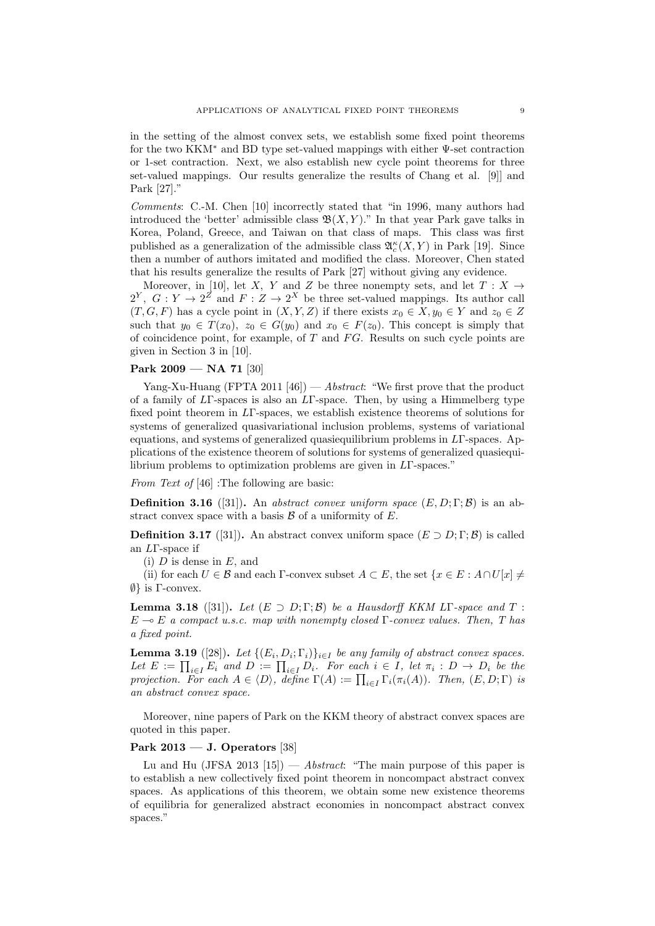in the setting of the almost convex sets, we establish some fixed point theorems for the two KKM*<sup>∗</sup>* and BD type set-valued mappings with either Ψ-set contraction or 1-set contraction. Next, we also establish new cycle point theorems for three set-valued mappings. Our results generalize the results of Chang et al. [9]] and Park [27]."

*Comments*: C.-M. Chen [10] incorrectly stated that "in 1996, many authors had introduced the 'better' admissible class  $\mathfrak{B}(X, Y)$ ." In that year Park gave talks in Korea, Poland, Greece, and Taiwan on that class of maps. This class was first published as a generalization of the admissible class  $\mathfrak{A}_{c}^{\kappa}(X,Y)$  in Park [19]. Since then a number of authors imitated and modified the class. Moreover, Chen stated that his results generalize the results of Park [27] without giving any evidence.

Moreover, in [10], let *X*, *Y* and *Z* be three nonempty sets, and let  $T : X \rightarrow$  $2^Y$ ,  $G: Y \to 2^Z$  and  $F: Z \to 2^X$  be three set-valued mappings. Its author call  $(T, G, F)$  has a cycle point in  $(X, Y, Z)$  if there exists  $x_0 \in X, y_0 \in Y$  and  $z_0 \in Z$ such that  $y_0 \in T(x_0)$ ,  $z_0 \in G(y_0)$  and  $x_0 \in F(z_0)$ . This concept is simply that of coincidence point, for example, of *T* and *F G*. Results on such cycle points are given in Section 3 in [10].

## **Park 2009 — NA 71** [30]

Yang-Xu-Huang (FPTA 2011 [46]) — *Abstract*: "We first prove that the product of a family of *L*Γ-spaces is also an *L*Γ-space. Then, by using a Himmelberg type fixed point theorem in *L*Γ-spaces, we establish existence theorems of solutions for systems of generalized quasivariational inclusion problems, systems of variational equations, and systems of generalized quasiequilibrium problems in *L*Γ-spaces. Applications of the existence theorem of solutions for systems of generalized quasiequilibrium problems to optimization problems are given in *L*Γ-spaces."

*From Text of* [46] :The following are basic:

**Definition 3.16** ([31]). An *abstract convex uniform space*  $(E, D; \Gamma; \mathcal{B})$  is an abstract convex space with a basis *B* of a uniformity of *E*.

**Definition 3.17** ([31]). An abstract convex uniform space  $(E \supset D; \Gamma; \mathcal{B})$  is called an *L*Γ-space if

(i) *D* is dense in *E*, and

(ii) for each  $U \in \mathcal{B}$  and each  $\Gamma$ -convex subset  $A \subset E$ , the set  $\{x \in E : A \cap U[x] \neq \emptyset\}$ *∅}* is Γ-convex.

**Lemma 3.18** ([31]). Let  $(E \supset D; \Gamma; \mathcal{B})$  be a Hausdorff KKM L<sub>L</sub>T-space and  $T$ :  $E \rightarrow E$  *a compact u.s.c. map with nonempty closed*  $\Gamma$ *-convex values. Then, T has a fixed point.*

**Lemma 3.19** ([28]). Let  $\{(E_i, D_i; \Gamma_i)\}_{i \in I}$  be any family of abstract convex spaces. Let  $E := \prod_{i \in I} E_i$  and  $D := \prod_{i \in I} D_i$ . For each  $i \in I$ , let  $\pi_i : D \to D_i$  be the *projection.* For each  $A \in \langle D \rangle$ , define  $\Gamma(A) := \prod_{i \in I} \Gamma_i(\pi_i(A))$ *. Then,*  $(E, D; \Gamma)$  *is an abstract convex space.*

Moreover, nine papers of Park on the KKM theory of abstract convex spaces are quoted in this paper.

### **Park 2013 — J. Operators** [38]

Lu and Hu (JFSA 2013 [15]) — *Abstract*: "The main purpose of this paper is to establish a new collectively fixed point theorem in noncompact abstract convex spaces. As applications of this theorem, we obtain some new existence theorems of equilibria for generalized abstract economies in noncompact abstract convex spaces."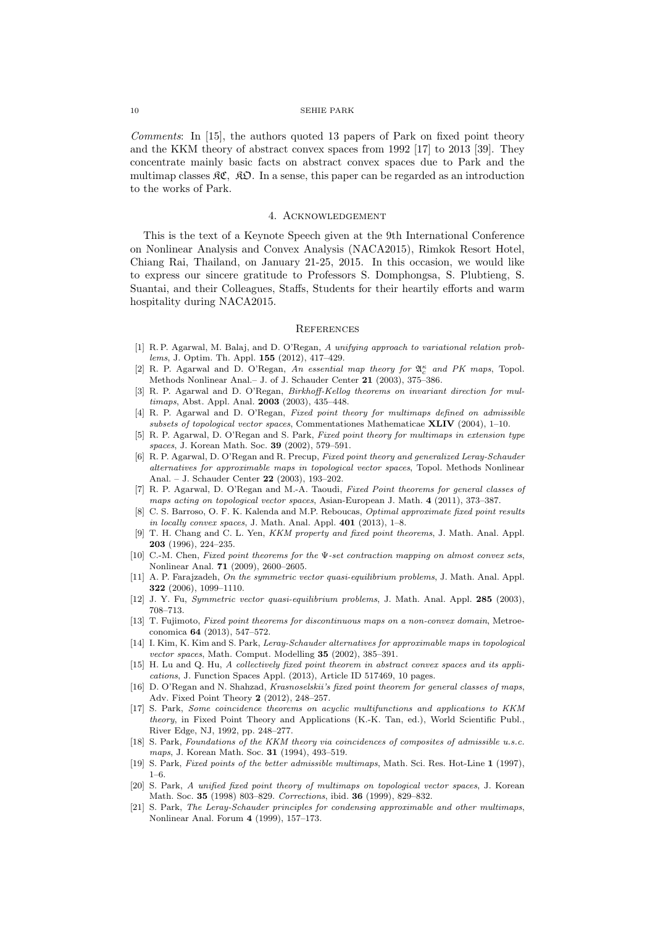*Comments*: In [15], the authors quoted 13 papers of Park on fixed point theory and the KKM theory of abstract convex spaces from 1992 [17] to 2013 [39]. They concentrate mainly basic facts on abstract convex spaces due to Park and the multimap classes  $\mathfrak{RC}$ ,  $\mathfrak{RD}$ . In a sense, this paper can be regarded as an introduction to the works of Park.

#### 4. Acknowledgement

This is the text of a Keynote Speech given at the 9th International Conference on Nonlinear Analysis and Convex Analysis (NACA2015), Rimkok Resort Hotel, Chiang Rai, Thailand, on January 21-25, 2015. In this occasion, we would like to express our sincere gratitude to Professors S. Domphongsa, S. Plubtieng, S. Suantai, and their Colleagues, Staffs, Students for their heartily efforts and warm hospitality during NACA2015.

#### **REFERENCES**

- [1] R. P. Agarwal, M. Balaj, and D. O'Regan, *A unifying approach to variational relation problems*, J. Optim. Th. Appl. **155** (2012), 417–429.
- [2] R. P. Agarwal and D. O'Regan, *An essential map theory for* A*<sup>κ</sup> <sup>c</sup> and PK maps*, Topol. Methods Nonlinear Anal.– J. of J. Schauder Center **21** (2003), 375–386.
- [3] R. P. Agarwal and D. O'Regan, *Birkhoff-Kellog theorems on invariant direction for multimaps*, Abst. Appl. Anal. **2003** (2003), 435–448.
- [4] R. P. Agarwal and D. O'Regan, *Fixed point theory for multimaps defined on admissible subsets of topological vector spaces*, Commentationes Mathematicae **XLIV** (2004), 1–10.
- [5] R. P. Agarwal, D. O'Regan and S. Park, *Fixed point theory for multimaps in extension type spaces*, J. Korean Math. Soc. **39** (2002), 579–591.
- [6] R. P. Agarwal, D. O'Regan and R. Precup, *Fixed point theory and generalized Leray-Schauder alternatives for approximable maps in topological vector spaces*, Topol. Methods Nonlinear Anal. – J. Schauder Center **22** (2003), 193–202.
- [7] R. P. Agarwal, D. O'Regan and M.-A. Taoudi, *Fixed Point theorems for general classes of maps acting on topological vector spaces*, Asian-European J. Math. **4** (2011), 373–387.
- [8] C. S. Barroso, O. F. K. Kalenda and M.P. Reboucas, *Optimal approximate fixed point results in locally convex spaces*, J. Math. Anal. Appl. **401** (2013), 1–8.
- [9] T. H. Chang and C. L. Yen, *KKM property and fixed point theorems*, J. Math. Anal. Appl. **203** (1996), 224–235.
- [10] C.-M. Chen, *Fixed point theorems for the* Ψ*-set contraction mapping on almost convex sets*, Nonlinear Anal. **71** (2009), 2600–2605.
- [11] A. P. Farajzadeh, *On the symmetric vector quasi-equilibrium problems*, J. Math. Anal. Appl. **322** (2006), 1099–1110.
- [12] J. Y. Fu, *Symmetric vector quasi-equilibrium problems*, J. Math. Anal. Appl. **285** (2003), 708–713.
- [13] T. Fujimoto, *Fixed point theorems for discontinuous maps on a non-convex domain*, Metroeconomica **64** (2013), 547–572.
- [14] I. Kim, K. Kim and S. Park, *Leray-Schauder alternatives for approximable maps in topological vector spaces*, Math. Comput. Modelling **35** (2002), 385–391.
- [15] H. Lu and Q. Hu, *A collectively fixed point theorem in abstract convex spaces and its applications*, J. Function Spaces Appl. (2013), Article ID 517469, 10 pages.
- [16] D. O'Regan and N. Shahzad, *Krasnoselskii's fixed point theorem for general classes of maps*, Adv. Fixed Point Theory **2** (2012), 248–257.
- [17] S. Park, *Some coincidence theorems on acyclic multifunctions and applications to KKM theory*, in Fixed Point Theory and Applications (K.-K. Tan, ed.), World Scientific Publ., River Edge, NJ, 1992, pp. 248–277.
- [18] S. Park, *Foundations of the KKM theory via coincidences of composites of admissible u.s.c. maps*, J. Korean Math. Soc. **31** (1994), 493–519.
- [19] S. Park, *Fixed points of the better admissible multimaps*, Math. Sci. Res. Hot-Line **1** (1997), 1–6.
- [20] S. Park, *A unified fixed point theory of multimaps on topological vector spaces*, J. Korean Math. Soc. **35** (1998) 803–829. *Corrections*, ibid. **36** (1999), 829–832.
- [21] S. Park, *The Leray-Schauder principles for condensing approximable and other multimaps*, Nonlinear Anal. Forum **4** (1999), 157–173.